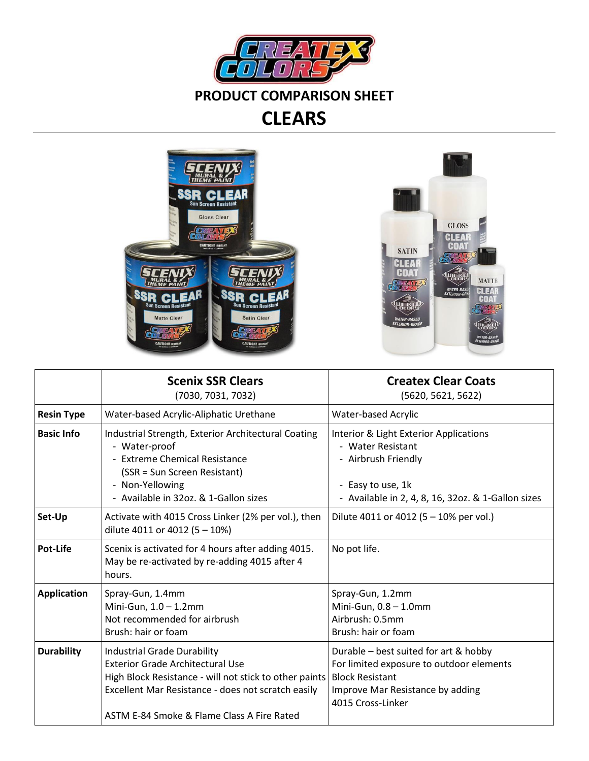



**GLOSS** 

**CLEAR**<br>COAT

**CIRIEATA** 

**WIEIKI** 

**MATTE** 

CLEAR<br>COAT

**UJIC IK** 

|                    | <b>Scenix SSR Clears</b><br>(7030, 7031, 7032)                                                                                                                                                                                              | <b>Createx Clear Coats</b><br>(5620, 5621, 5622)                                                                                                                     |
|--------------------|---------------------------------------------------------------------------------------------------------------------------------------------------------------------------------------------------------------------------------------------|----------------------------------------------------------------------------------------------------------------------------------------------------------------------|
| <b>Resin Type</b>  | Water-based Acrylic-Aliphatic Urethane                                                                                                                                                                                                      | <b>Water-based Acrylic</b>                                                                                                                                           |
| <b>Basic Info</b>  | Industrial Strength, Exterior Architectural Coating<br>- Water-proof<br>- Extreme Chemical Resistance<br>(SSR = Sun Screen Resistant)<br>- Non-Yellowing<br>- Available in 32oz. & 1-Gallon sizes                                           | Interior & Light Exterior Applications<br>- Water Resistant<br>- Airbrush Friendly<br>- Easy to use, 1k<br>- Available in 2, 4, 8, 16, 32oz. & 1-Gallon sizes        |
| Set-Up             | Activate with 4015 Cross Linker (2% per vol.), then<br>dilute 4011 or 4012 (5 - 10%)                                                                                                                                                        | Dilute 4011 or 4012 (5 – 10% per vol.)                                                                                                                               |
| <b>Pot-Life</b>    | Scenix is activated for 4 hours after adding 4015.<br>May be re-activated by re-adding 4015 after 4<br>hours.                                                                                                                               | No pot life.                                                                                                                                                         |
| <b>Application</b> | Spray-Gun, 1.4mm<br>Mini-Gun, $1.0 - 1.2$ mm<br>Not recommended for airbrush<br>Brush: hair or foam                                                                                                                                         | Spray-Gun, 1.2mm<br>Mini-Gun, $0.8 - 1.0$ mm<br>Airbrush: 0.5mm<br>Brush: hair or foam                                                                               |
| <b>Durability</b>  | <b>Industrial Grade Durability</b><br><b>Exterior Grade Architectural Use</b><br>High Block Resistance - will not stick to other paints<br>Excellent Mar Resistance - does not scratch easily<br>ASTM E-84 Smoke & Flame Class A Fire Rated | Durable - best suited for art & hobby<br>For limited exposure to outdoor elements<br><b>Block Resistant</b><br>Improve Mar Resistance by adding<br>4015 Cross-Linker |